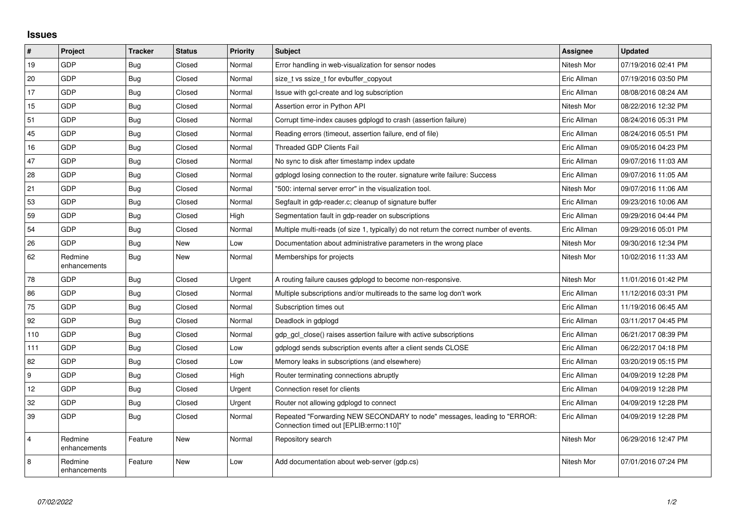## **Issues**

| $\vert$ #      | Project                 | <b>Tracker</b> | <b>Status</b> | <b>Priority</b> | Subject                                                                                                             | <b>Assignee</b> | <b>Updated</b>      |
|----------------|-------------------------|----------------|---------------|-----------------|---------------------------------------------------------------------------------------------------------------------|-----------------|---------------------|
| 19             | GDP                     | Bug            | Closed        | Normal          | Error handling in web-visualization for sensor nodes                                                                | Nitesh Mor      | 07/19/2016 02:41 PM |
| 20             | GDP                     | Bug            | Closed        | Normal          | size t vs ssize t for evbuffer copyout                                                                              | Eric Allman     | 07/19/2016 03:50 PM |
| 17             | <b>GDP</b>              | Bug            | Closed        | Normal          | Issue with gcl-create and log subscription                                                                          | Eric Allman     | 08/08/2016 08:24 AM |
| 15             | GDP                     | Bug            | Closed        | Normal          | Assertion error in Python API                                                                                       | Nitesh Mor      | 08/22/2016 12:32 PM |
| 51             | GDP                     | Bug            | Closed        | Normal          | Corrupt time-index causes gdplogd to crash (assertion failure)                                                      | Eric Allman     | 08/24/2016 05:31 PM |
| 45             | GDP                     | Bug            | Closed        | Normal          | Reading errors (timeout, assertion failure, end of file)                                                            | Eric Allman     | 08/24/2016 05:51 PM |
| 16             | GDP                     | <b>Bug</b>     | Closed        | Normal          | Threaded GDP Clients Fail                                                                                           | Eric Allman     | 09/05/2016 04:23 PM |
| 47             | <b>GDP</b>              | Bug            | Closed        | Normal          | No sync to disk after timestamp index update                                                                        | Eric Allman     | 09/07/2016 11:03 AM |
| 28             | GDP                     | <b>Bug</b>     | Closed        | Normal          | gdplogd losing connection to the router, signature write failure: Success                                           | Eric Allman     | 09/07/2016 11:05 AM |
| 21             | GDP                     | Bug            | Closed        | Normal          | "500: internal server error" in the visualization tool.                                                             | Nitesh Mor      | 09/07/2016 11:06 AM |
| 53             | <b>GDP</b>              | Bug            | Closed        | Normal          | Segfault in gdp-reader.c; cleanup of signature buffer                                                               | Eric Allman     | 09/23/2016 10:06 AM |
| 59             | GDP                     | Bug            | Closed        | High            | Segmentation fault in gdp-reader on subscriptions                                                                   | Eric Allman     | 09/29/2016 04:44 PM |
| 54             | GDP                     | <b>Bug</b>     | Closed        | Normal          | Multiple multi-reads (of size 1, typically) do not return the correct number of events.                             | Eric Allman     | 09/29/2016 05:01 PM |
| 26             | GDP                     | Bug            | <b>New</b>    | Low             | Documentation about administrative parameters in the wrong place                                                    | Nitesh Mor      | 09/30/2016 12:34 PM |
| 62             | Redmine<br>enhancements | Bug            | New           | Normal          | Memberships for projects                                                                                            | Nitesh Mor      | 10/02/2016 11:33 AM |
| 78             | <b>GDP</b>              | Bug            | Closed        | Urgent          | A routing failure causes gdplogd to become non-responsive.                                                          | Nitesh Mor      | 11/01/2016 01:42 PM |
| 86             | GDP                     | <b>Bug</b>     | Closed        | Normal          | Multiple subscriptions and/or multireads to the same log don't work                                                 | Eric Allman     | 11/12/2016 03:31 PM |
| 75             | GDP                     | Bug            | Closed        | Normal          | Subscription times out                                                                                              | Eric Allman     | 11/19/2016 06:45 AM |
| 92             | GDP                     | <b>Bug</b>     | Closed        | Normal          | Deadlock in gdplogd                                                                                                 | Eric Allman     | 03/11/2017 04:45 PM |
| 110            | <b>GDP</b>              | Bug            | Closed        | Normal          | gdp gcl close() raises assertion failure with active subscriptions                                                  | Eric Allman     | 06/21/2017 08:39 PM |
| 111            | GDP                     | Bug            | Closed        | Low             | gdplogd sends subscription events after a client sends CLOSE                                                        | Eric Allman     | 06/22/2017 04:18 PM |
| 82             | GDP                     | Bug            | Closed        | Low             | Memory leaks in subscriptions (and elsewhere)                                                                       | Eric Allman     | 03/20/2019 05:15 PM |
| 9              | <b>GDP</b>              | Bug            | Closed        | High            | Router terminating connections abruptly                                                                             | Eric Allman     | 04/09/2019 12:28 PM |
| 12             | GDP                     | Bug            | Closed        | Urgent          | Connection reset for clients                                                                                        | Eric Allman     | 04/09/2019 12:28 PM |
| 32             | <b>GDP</b>              | Bug            | Closed        | Urgent          | Router not allowing gdplogd to connect                                                                              | Eric Allman     | 04/09/2019 12:28 PM |
| 39             | GDP                     | <b>Bug</b>     | Closed        | Normal          | Repeated "Forwarding NEW SECONDARY to node" messages, leading to "ERROR:<br>Connection timed out [EPLIB:errno:110]" | Eric Allman     | 04/09/2019 12:28 PM |
| $\overline{4}$ | Redmine<br>enhancements | Feature        | New           | Normal          | Repository search                                                                                                   | Nitesh Mor      | 06/29/2016 12:47 PM |
| 8              | Redmine<br>enhancements | Feature        | <b>New</b>    | Low             | Add documentation about web-server (gdp.cs)                                                                         | Nitesh Mor      | 07/01/2016 07:24 PM |